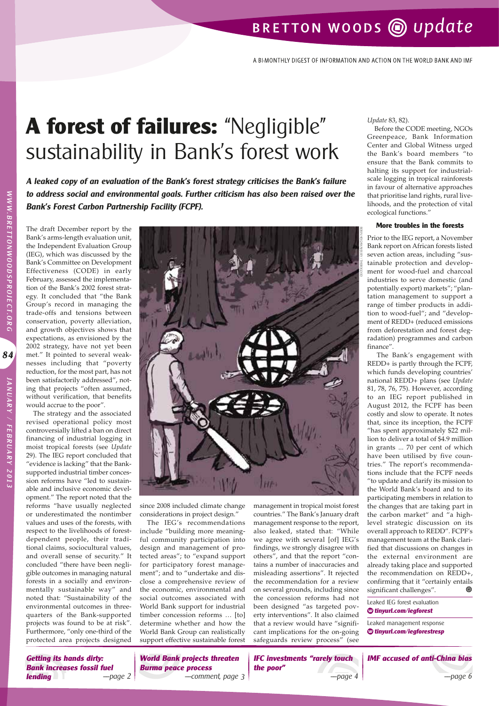## BRETTON WOODS @ update

A BI-MONTHLY DIGEST OF INFORMATION AND ACTION ON THE WORLD BANK AND IMF

# **A forest of failures:** "Negligible" sustainability in Bank's forest work

**A leaked copy of an evaluation of the Bank's forest strategy criticises the Bank's failure to address social and environmental goals. Further criticism has also been raised over the Bank's Forest Carbon Partnership Facility (FCPF).**

The draft December report by the Bank's arms-length evaluation unit, the Independent Evaluation Group (IEG), which was discussed by the Bank's Committee on Development Effectiveness (CODE) in early February, assessed the implementation of the Bank's 2002 forest strategy. It concluded that "the Bank Group's record in managing the trade-offs and tensions between conservation, poverty alleviation, and growth objectives shows that expectations, as envisioned by the 2002 strategy, have not yet been met." It pointed to several weaknesses including that "poverty reduction, for the most part, has not been satisfactorily addressed", noting that projects "often assumed, without verification, that benefits would accrue to the poor".

The strategy and the associated revised operational policy most controversially lifted a ban on direct financing of industrial logging in moist tropical forests (see *Update* 29). The IEG report concluded that "evidence is lacking" that the Banksupported industrial timber concession reforms have "led to sustainable and inclusive economic development." The report noted that the reforms "have usually neglected or underestimated the nontimber values and uses of the forests, with respect to the livelihoods of forestdependent people, their traditional claims, sociocultural values, and overall sense of security." It concluded "there have been negligible outcomes in managing natural forests in a socially and environmentally sustainable way" and noted that: "Sustainability of the environmental outcomes in threequarters of the Bank-supported projects was found to be at risk". Furthermore, "only one-third of the protected area projects designed



since 2008 included climate change considerations in project design."

The IEG's recommendations include "building more meaningful community participation into design and management of protected areas"; to "expand support for participatory forest management"; and to "undertake and disclose a comprehensive review of the economic, environmental and social outcomes associated with World Bank support for industrial timber concession reforms … [to] determine whether and how the World Bank Group can realistically support effective sustainable forest management in tropical moist forest countries." The Bank's January draft management response to the report, also leaked, stated that: "While we agree with several [of] IEG's findings, we strongly disagree with others", and that the report "contains a number of inaccuracies and misleading assertions". It rejected the recommendation for a review on several grounds, including since the concession reforms had not been designed "as targeted poverty interventions". It also claimed that a review would have "significant implications for the on-going safeguards review process" (see

*Update* 83, 82).

Before the CODE meeting, NGOs Greenpeace, Bank Information Center and Global Witness urged the Bank's board members "to ensure that the Bank commits to halting its support for industrialscale logging in tropical rainforests in favour of alternative approaches that prioritise land rights, rural livelihoods, and the protection of vital ecological functions."

#### **More troubles in the forests**

Prior to the IEG report, a November Bank report on African forests listed seven action areas, including "sustainable protection and development for wood-fuel and charcoal industries to serve domestic (and potentially export) markets"; "plantation management to support a range of timber products in addition to wood-fuel"; and "development of REDD+ (reduced emissions from deforestation and forest degradation) programmes and carbon finance".

The Bank's engagement with REDD+ is partly through the FCPF, which funds developing countries' national REDD+ plans (see *Update*  81, 78, 76, 75). However, according to an IEG report published in August 2012, the FCPF has been costly and slow to operate. It notes that, since its inception, the FCPF "has spent approximately \$22 million to deliver a total of \$4.9 million in grants ... 70 per cent of which have been utilised by five countries." The report's recommendations include that the FCPF needs "to update and clarify its mission to the World Bank's board and to its participating members in relation to the changes that are taking part in the carbon market" and "a highlevel strategic discussion on its overall approach to REDD". FCPF's management team at the Bank clarified that discussions on changes in the external environment are already taking place and supported the recommendation on REDD+, confirming that it "certainly entails significant challenges". ⋒

Leaked IEG forest evaluation **◊ tinyurl.com/iegforest**

Leaked management response **◊ tinyurl.com/iegforestresp**

**IMF accused of anti-China bias**

WWW.BRETTONWOODSPROJECT.ORG

84

**Getting its hands dirty: Bank increases fossil fuel**<br>*lending*  $\qquad$   $\qquad$   $\qquad$   $\qquad$   $\qquad$   $\qquad$   $\qquad$   $\qquad$   $\qquad$   $\qquad$   $\qquad$   $\qquad$   $\qquad$   $\qquad$   $\qquad$   $\qquad$   $\qquad$   $\qquad$   $\qquad$   $\qquad$   $\qquad$   $\qquad$   $\qquad$   $\qquad$   $\qquad$   $\qquad$   $\qquad$   $\qquad$   $\qquad$   $\qquad$  **lending**

**World Bank projects threaten Burma peace process** ––page 2 ––comment, page 3 ––page 4 ––page 6

**IFC investments "rarely touch the poor"**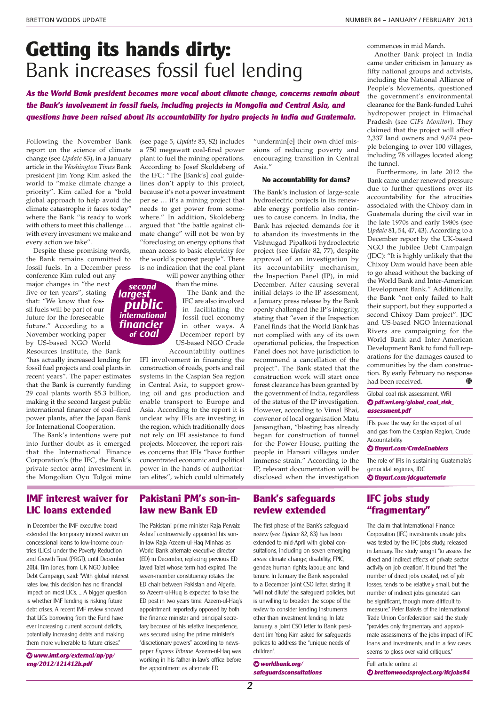commences in mid March.

## **Getting its hands dirty:**  Bank increases fossil fuel lending

**As the World Bank president becomes more vocal about climate change, concerns remain about the Bank's involvement in fossil fuels, including projects in Mongolia and Central Asia, and questions have been raised about its accountability for hydro projects in India and Guatemala.**

Following the November Bank report on the science of climate change (see *Update* 83), in a January article in the *Washington Times* Bank president Jim Yong Kim asked the world to "make climate change a priority". Kim called for a "bold global approach to help avoid the climate catastrophe it faces today" where the Bank "is ready to work with others to meet this challenge … with every investment we make and every action we take".

Despite these promising words, the Bank remains committed to fossil fuels. In a December press conference Kim ruled out any

major changes in "the next five or ten years", stating that: "We know that fossil fuels will be part of our future for the foreseeable future." According to a November working paper by US-based NGO World Resources Institute, the Bank

"has actually increased lending for fossil fuel projects and coal plants in recent years". The paper estimates that the Bank is currently funding 29 coal plants worth \$5.3 billion, making it the second largest public international financer of coal–fired power plants, after the Japan Bank for International Cooperation.

The Bank's intentions were put into further doubt as it emerged that the International Finance Corporation's (the IFC, the Bank's private sector arm) investment in the Mongolian Oyu Tolgoi mine

(see page 5, *Update* 83, 82) includes a 750 megawatt coal-fired power plant to fuel the mining operations. According to Josef Skoldeberg of the IFC: "The [Bank's] coal guidelines don't apply to this project, because it's not a power investment per se … it's a mining project that needs to get power from somewhere." In addition, Skoldeberg argued that "the battle against climate change" will not be won by "foreclosing on energy options that mean access to basic electricity for the world's poorest people". There is no indication that the coal plant

will power anything other than the mine.

**second largest**

**financier international**

**public**

**of coal**

The Bank and the IFC are also involved in facilitating the fossil fuel economy in other ways. A December report by US-based NGO Crude Accountability outlines

IFI involvement in financing the construction of roads, ports and rail systems in the Caspian Sea region in Central Asia, to support growing oil and gas production and enable transport to Europe and Asia. According to the report it is unclear why IFIs are investing in the region, which traditionally does not rely on IFI assistance to fund projects. Moreover, the report raises concerns that IFIs "have further concentrated economic and political power in the hands of authoritarian elites", which could ultimately

"undermin[e] their own chief missions of reducing poverty and encouraging transition in Central Asia."

### **No accountability for dams?**

The Bank's inclusion of large-scale hydroelectric projects in its renewable energy portfolio also continues to cause concern. In India, the Bank has rejected demands for it to abandon its investments in the Vishnugad Pipalkoti hydroelectric project (see *Update* 82, 77), despite approval of an investigation by its accountability mechanism, the Inspection Panel (IP), in mid December. After causing several initial delays to the IP assessment, a January press release by the Bank openly challenged the IP's integrity, stating that "even if the Inspection Panel finds that the World Bank has not complied with any of its own operational policies, the Inspection Panel does not have jurisdiction to recommend a cancellation of the project". The Bank stated that the construction work will start once forest clearance has been granted by the government of India, regardless of the status of the IP investigation. However, according to Vimal Bhai, convenor of local organisation Matu Jansangthan, "blasting has already began for construction of tunnel for the Power House, putting the people in Harsari villages under immense strain." According to the IP, relevant documentation will be disclosed when the investigation

Another Bank project in India came under criticism in January as fifty national groups and activists, including the National Alliance of People's Movements, questioned the government's environmental clearance for the Bank-funded Luhri hydropower project in Himachal Pradesh (see *CIFs Monitor*). They claimed that the project will affect 2,337 land owners and 9,674 people belonging to over 100 villages, including 78 villages located along

the tunnel.

Furthermore, in late 2012 the Bank came under renewed pressure due to further questions over its accountability for the atrocities associated with the Chixoy dam in Guatemala during the civil war in the late 1970s and early 1980s (see *Update* 81, 54, 47, 43). According to a December report by the UK-based NGO the Jubilee Debt Campaign (JDC): "It is highly unlikely that the Chixoy Dam would have been able to go ahead without the backing of the World Bank and Inter-American Development Bank." Additionally, the Bank "not only failed to halt their support, but they supported a second Chixoy Dam project". JDC and US-based NGO International Rivers are campaigning for the World Bank and Inter-American Development Bank to fund full reparations for the damages caused to communities by the dam construction. By early February no response had been received. ◉

#### Global coal risk assessment, WRI **◊ pdf.wri.org/global\_coal\_risk\_ assessment.pdf**

IFIs pave the way for the export of oil and gas from the Caspian Region, Crude Accountability

**◊ tinyurl.com/CrudeEnablers**

The role of IFIs in sustaining Guatemala's genocidal regimes, JDC **◊ tinyurl.com/jdcguatemala**

## **IFC jobs study "fragmentary"**

The claim that International Finance Corporation (IFC) investments create jobs was tested by the IFC jobs study, released in January. The study sought "to assess the direct and indirect effects of private sector activity on job creation". It found that "the number of direct jobs created, net of job losses, tends to be relatively small, but the number of indirect jobs generated can be significant, though more difficult to measure" Peter Bakvis of the International Trade Union Confederation said the study "provides only fragmentary and approximate assessments of the jobs impact of IFC loans and investments, and in a few cases seems to gloss over valid critiques."

Full article online at **◊ brettonwoodsproject.org/ifcjobs84**

### **IMF interest waiver for LIC loans extended**

In December the IMF executive board extended the temporary interest waiver on concessional loans to low-income countries (LICs) under the Poverty Reduction and Growth Trust (PRGT), until December 2014. Tim Jones, from UK NGO Jubilee Debt Campaign, said: "With global interest rates low, this decision has no financial impact on most LICs. ... A bigger question is whether IMF lending is risking future debt crises. A recent IMF review showed that LICs borrowing from the Fund have ever increasing current account deficits, potentially increasing debts and making them more vulnerable to future crises."

**◊ www.imf.org/external/np/pp/ eng/2012/121412b.pdf**

### **Pakistani PM's son-inlaw new Bank ED**

The Pakistani prime minister Raja Pervaiz Ashraf controversially appointed his sonin-law Raja Azeem-ul-Haq Minhas as World Bank alternate executive director (ED) in December, replacing previous ED Javed Talat whose term had expired. The seven-member constituency rotates the ED chair between Pakistan and Algeria, so Azeem-ul-Huq is expected to take the ED post in two years time. Azeem-ul-Haq's appointment, reportedly opposed by both the finance minister and principal secretary because of his relative inexperience, was secured using the prime minister's "discretionary powers" according to newspaper Express Tribune. Azeem-ul-Haq was working in his father-in-law's office before the appointment as alternate ED.

## **Bank's safeguards review extended**

The first phase of the Bank's safeguard review (see Update 82, 83) has been extended to mid-April with global consultations, including on seven emerging areas: climate change; disability; FPIC; gender; human rights; labour; and land tenure. In January the Bank responded to a December joint CSO letter, stating it "will not dilute" the safeguard policies, but is unwilling to broaden the scope of the review to consider lending instruments other than investment lending. In late January, a joint CSO letter to Bank president Jim Yong Kim asked for safeguards polices to address the "unique needs of children".

**◊ worldbank.org/ safeguardsconsultations**

**2**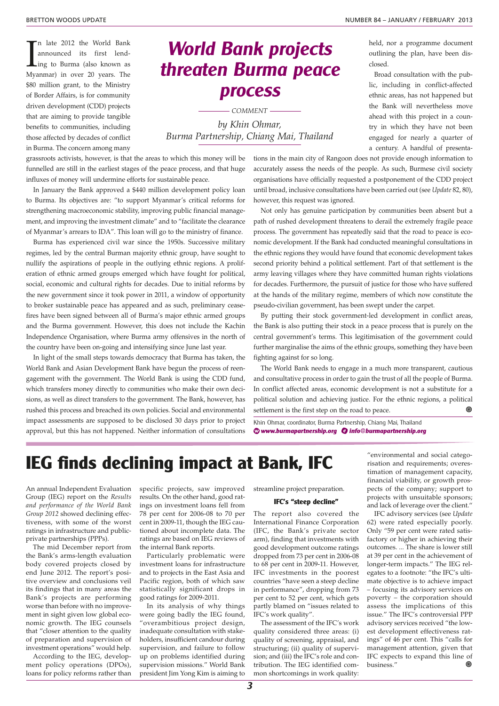closed.

held, nor a programme document outlining the plan, have been dis-

Broad consultation with the public, including in conflict-affected ethnic areas, has not happened but the Bank will nevertheless move ahead with this project in a country in which they have not been engaged for nearly a quarter of a century. A handful of presenta-

In late 2012 the World Bank<br>announced its first lend-<br>ing to Burma (also known as<br>Myanmar) in over 20 years. The n late 2012 the World Bank announced its first lending to Burma (also known as \$80 million grant, to the Ministry of Border Affairs, is for community driven development (CDD) projects that are aiming to provide tangible benefits to communities, including those affected by decades of conflict in Burma. The concern among many

grassroots activists, however, is that the areas to which this money will be funnelled are still in the earliest stages of the peace process, and that huge influxes of money will undermine efforts for sustainable peace.

In January the Bank approved a \$440 million development policy loan to Burma. Its objectives are: "to support Myanmar's critical reforms for strengthening macroeconomic stability, improving public financial management, and improving the investment climate" and to "facilitate the clearance of Myanmar's arrears to IDA". This loan will go to the ministry of finance.

Burma has experienced civil war since the 1950s. Successive military regimes, led by the central Burman majority ethnic group, have sought to nullify the aspirations of people in the outlying ethnic regions. A proliferation of ethnic armed groups emerged which have fought for political, social, economic and cultural rights for decades. Due to initial reforms by the new government since it took power in 2011, a window of opportunity to broker sustainable peace has appeared and as such, preliminary ceasefires have been signed between all of Burma's major ethnic armed groups and the Burma government. However, this does not include the Kachin Independence Organisation, where Burma army offensives in the north of the country have been on-going and intensifying since June last year.

In light of the small steps towards democracy that Burma has taken, the World Bank and Asian Development Bank have begun the process of reengagement with the government. The World Bank is using the CDD fund, which transfers money directly to communities who make their own decisions, as well as direct transfers to the government. The Bank, however, has rushed this process and breached its own policies. Social and environmental impact assessments are supposed to be disclosed 30 days prior to project approval, but this has not happened. Neither information of consultations

## **World Bank projects threaten Burma peace process**

*COMMENT*

*by Khin Ohmar, Burma Partnership, Chiang Mai, Thailand*

> tions in the main city of Rangoon does not provide enough information to accurately assess the needs of the people. As such, Burmese civil society organisations have officially requested a postponement of the CDD project until broad, inclusive consultations have been carried out (see *Update* 82, 80), however, this request was ignored.

> Not only has genuine participation by communities been absent but a path of rushed development threatens to derail the extremely fragile peace process. The government has repeatedly said that the road to peace is economic development. If the Bank had conducted meaningful consultations in the ethnic regions they would have found that economic development takes second priority behind a political settlement. Part of that settlement is the army leaving villages where they have committed human rights violations for decades. Furthermore, the pursuit of justice for those who have suffered at the hands of the military regime, members of which now constitute the pseudo-civilian government, has been swept under the carpet.

> By putting their stock government-led development in conflict areas, the Bank is also putting their stock in a peace process that is purely on the central government's terms. This legitimisation of the government could further marginalise the aims of the ethnic groups, something they have been fighting against for so long.

> The World Bank needs to engage in a much more transparent, cautious and consultative process in order to gain the trust of all the people of Burma. In conflict affected areas, economic development is not a substitute for a political solution and achieving justice. For the ethnic regions, a political settlement is the first step on the road to peace. ◉

Khin Ohmar, coordinator, Burma Partnership, Chiang Mai, Thailand **◊ www.burmapartnership.org info@burmapartnership.org**

## **IEG finds declining impact at Bank, IFC**

An annual Independent Evaluation Group (IEG) report on the *Results and performance of the World Bank Group 2012* showed declining effectiveness, with some of the worst ratings in infrastructure and publicprivate partnerships (PPPs).

The mid December report from the Bank's arms-length evaluation body covered projects closed by end June 2012. The report's positive overview and conclusions veil its findings that in many areas the Bank's projects are performing worse than before with no improvement in sight given low global economic growth. The IEG counsels that "closer attention to the quality of preparation and supervision of investment operations" would help.

According to the IEG, development policy operations (DPOs), loans for policy reforms rather than

specific projects, saw improved results. On the other hand, good ratings on investment loans fell from 78 per cent for 2006-08 to 70 per cent in 2009-11, though the IEG cautioned about incomplete data. The ratings are based on IEG reviews of the internal Bank reports.

Particularly problematic were investment loans for infrastructure and to projects in the East Asia and Pacific region, both of which saw statistically significant drops in good ratings for 2009-2011.

In its analysis of why things were going badly the IEG found, "overambitious project design, inadequate consultation with stakeholders, insufficient candour during supervision, and failure to follow up on problems identified during supervision missions." World Bank president Jim Yong Kim is aiming to streamline project preparation.

#### **IFC's "steep decline"**

The report also covered the International Finance Corporation (IFC, the Bank's private sector arm), finding that investments with good development outcome ratings dropped from 73 per cent in 2006-08 to 68 per cent in 2009-11. However, IFC investments in the poorest countries "have seen a steep decline in performance", dropping from 73 per cent to 52 per cent, which gets partly blamed on "issues related to IFC's work quality".

The assessment of the IFC's work quality considered three areas: (i) quality of screening, appraisal, and structuring; (ii) quality of supervision; and (iii) the IFC's role and contribution. The IEG identified common shortcomings in work quality:

"environmental and social categorisation and requirements; overestimation of management capacity, financial viability, or growth prospects of the company; support to projects with unsuitable sponsors; and lack of leverage over the client."

IFC advisory services (see *Update* 62) were rated especially poorly. Only "59 per cent were rated satisfactory or higher in achieving their outcomes. ... The share is lower still at 39 per cent in the achievement of longer-term impacts." The IEG relegates to a footnote: "the IFC's ultimate objective is to achieve impact – focusing its advisory services on poverty – the corporation should assess the implications of this issue." The IFC's controversial PPP advisory services received "the lowest development effectiveness ratings" of 46 per cent. This "calls for management attention, given that IFC expects to expand this line of business."⋒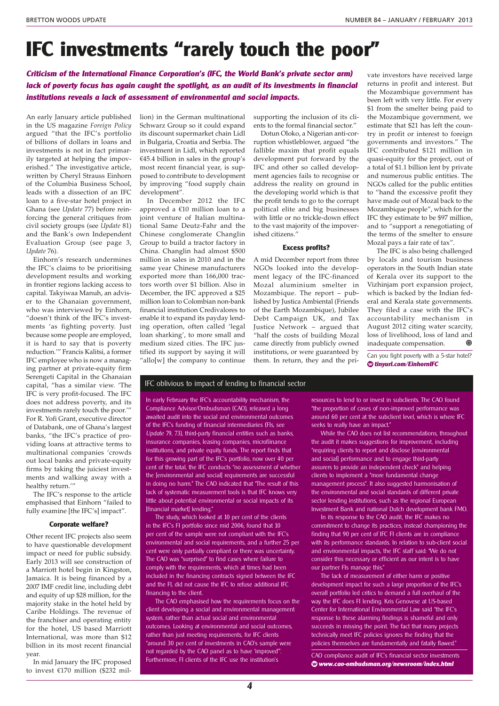## **IFC investments "rarely touch the poor"**

**Criticism of the International Finance Corporation's (IFC, the World Bank's private sector arm) lack of poverty focus has again caught the spotlight, as an audit of its investments in financial institutions reveals a lack of assessment of environmental and social impacts.**

An early January article published in the US magazine *Foreign Policy* argued "that the IFC's portfolio of billions of dollars in loans and investments is not in fact primarily targeted at helping the impoverished." The investigative article, written by Cheryl Strauss Einhorn of the Columbia Business School, leads with a dissection of an IFC loan to a five-star hotel project in Ghana (see *Update* 77) before reinforcing the general critiques from civil society groups (see *Update* 81) and the Bank's own Independent Evaluation Group (see page 3, *Update* 76).

Einhorn's research undermines the IFC's claims to be prioritising development results and working in frontier regions lacking access to capital. Takyiwaa Manuh, an adviser to the Ghanaian government, who was interviewed by Einhorn, "doesn't think of the IFC's investments 'as fighting poverty. Just because some people are employed, it is hard to say that is poverty reduction.'" Francis Kalitsi, a former IFC employee who is now a managing partner at private-equity firm Serengeti Capital in the Ghanaian capital, "has a similar view. 'The IFC is very profit-focused. The IFC does not address poverty, and its investments rarely touch the poor.'" For R. Yofi Grant, executive director of Databank, one of Ghana's largest banks, "the IFC's practice of providing loans at attractive terms to multinational companies 'crowds out local banks and private-equity firms by taking the juiciest investments and walking away with a healthy return.'"

The IFC's response to the article emphasised that Einhorn "failed to fully examine [the IFC's] impact".

#### **Corporate welfare?**

Other recent IFC projects also seem to have questionable development impact or need for public subsidy. Early 2013 will see construction of a Marriott hotel begin in Kingston, Jamaica. It is being financed by a 2007 IMF credit line, including debt and equity of up \$28 million, for the majority stake in the hotel held by Caribe Holdings. The revenue of the franchiser and operating entity for the hotel, US based Marriott International, was more than \$12 billion in its most recent financial year.

In mid January the IFC proposed to invest €170 million (\$232 million) in the German multinational Schwarz Group so it could expand its discount supermarket chain Lidl in Bulgaria, Croatia and Serbia. The investment in Lidl, which reported €45.4 billion in sales in the group's most recent financial year, is supposed to contribute to development by improving "food supply chain development".

In December 2012 the IFC approved a €10 million loan to a joint venture of Italian multinational Same Deutz-Fahr and the Chinese conglomerate Changlin Group to build a tractor factory in China. Changlin had almost \$500 million in sales in 2010 and in the same year Chinese manufacturers exported more than 166,000 tractors worth over \$1 billion. Also in December, the IFC approved a \$25 million loan to Colombian non-bank financial institution Credivalores to enable it to expand its payday lending operation, often called 'legal loan sharking', to more small and medium sized cities. The IFC justified its support by saying it will "allo[w] the company to continue supporting the inclusion of its clients to the formal financial sector."

Dotun Oloko, a Nigerian anti-corruption whistleblower, argued "the fallible maxim that profit equals development put forward by the IFC and other so called development agencies fails to recognise or address the reality on ground in the developing world which is that the profit tends to go to the corrupt political elite and big businesses with little or no trickle-down effect to the vast majority of the impoverished citizens."

#### **Excess profits?**

A mid December report from three NGOs looked into the development legacy of the IFC-financed Mozal aluminium smelter in Mozambique. The report – published by Justica Ambiental (Friends of the Earth Mozambique), Jubilee Debt Campaign UK, and Tax Justice Network – argued that "half the costs of building Mozal came directly from publicly owned institutions, or were guaranteed by them. In return, they and the pri-

vate investors have received large returns in profit and interest. But the Mozambique government has been left with very little. For every \$1 from the smelter being paid to the Mozambique government, we estimate that \$21 has left the country in profit or interest to foreign governments and investors." The IFC contributed \$121 million in quasi-equity for the project, out of a total of \$1.1 billion lent by private and numerous public entities. The NGOs called for the public entities to "hand the excessive profit they have made out of Mozal back to the Mozambique people", which for the IFC they estimate to be \$97 million, and to "support a renegotiating of the terms of the smelter to ensure Mozal pays a fair rate of tax".

The IFC is also being challenged by locals and tourism business operators in the South Indian state of Kerala over its support to the Vizhinjam port expansion project, which is backed by the Indian federal and Kerala state governments. They filed a case with the IFC's accountability mechanism in August 2012 citing water scarcity, loss of livelihood, loss of land and inadequate compensation. ◉

Can you fight poverty with a 5-star hotel? **◊ tinyurl.com/EinhornIFC**

#### IFC oblivious to impact of lending to financial sector

In early February the IFC's accountability mechanism, the Compliance Advisor/Ombudsman (CAO), released a long awaited audit into the social and environmental outcomes of the IFC's funding of financial intermediaries (FIs, see Update 79, 73), third-party financial entities such as banks, insurance companies, leasing companies, microfiinance institutions, and private equity funds. The report finds that for this growing part of the IFC's portfolio, now over 40 per cent of the total, the IFC conducts "no assessment of whether the [environmental and social] requirements are successful in doing no harm." The CAO indicated that "The result of this lack of systematic measurement tools is that IFC knows very little about potential environmental or social impacts of its [financial market] lending."

The study, which looked at 10 per cent of the clients in the IFC's FI portfolio since mid 2006, found that 10 per cent of the sample were not compliant with the IFC's environmental and social requirements, and a further 25 per cent were only partially compliant or there was uncertainty. The CAO was "surprised" to find cases where failure to comply with the requirements, which at times had been included in the financing contracts signed between the IFC and the FI, did not cause the IFC to refuse additional IFC financing to the client.

The CAO emphasised how the requirements focus on the client developing a social and environmental management system, rather than actual social and environmental outcomes. Looking at environmental and social outcomes, rather than just meeting requirements, for IFC clients "around 30 per cent of investments in CAO's sample were not regarded by the CAO panel as to have 'improved'". Furthermore, FI clients of the IFC use the institution's

resources to lend to or invest in subclients. The CAO found "the proportion of cases of non-improved performance was around 60 per cent at the subclient level, which is where IFC seeks to really have an impact."

While the CAO does not list recommendations, throughout the audit it makes suggestions for improvement, including "requiring clients to report and disclose [environmental and social] performance and to engage third-party assurers to provide an independent check" and helping clients to implement a "more fundamental change management process". It also suggested harmonisation of the environmental and social standards of different private sector lending institutions, such as the regional European Investment Bank and national Dutch development bank FMO.

In its response to the CAO audit, the IFC makes no commitment to change its practices, instead championing the finding that 90 per cent of IFC FI clients are in compliance with its performance standards. In relation to sub-client social and environmental impacts, the IFC staff said: "We do not consider this necessary or efficient as our intent is to have our partner FIs manage this."

The lack of measurement of either harm or positive development impact for such a large proportion of the IFC's overall portfolio led critics to demand a full overhaul of the way the IFC does FI lending. Kris Genovese at US-based Center for International Environmental Law said "the IFC's response to these alarming findings is shameful and only succeeds in missing the point. The fact that many projects technically meet IFC policies ignores the finding that the policies themselves are fundamentally and fatally flawed."

CAO compliance audit of IFC's financial sector investments **◊ www.cao-ombudsman.org/newsroom/index.html**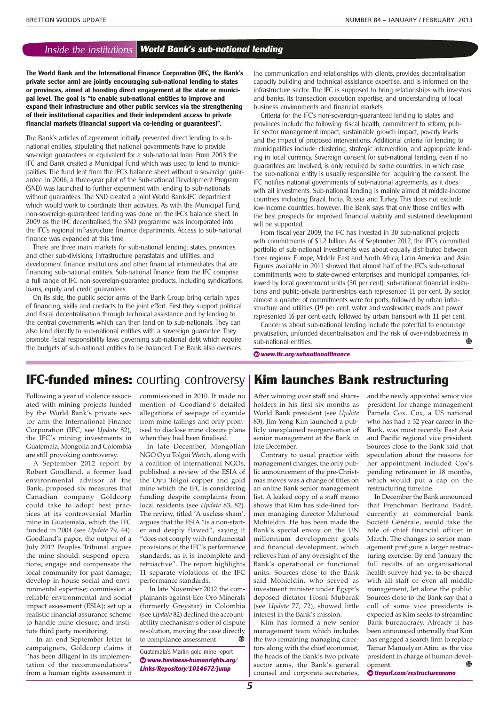### Inside the institutions **World Bank's sub-national lending**

**The World Bank and the International Finance Corporation (IFC, the Bank's private sector arm) are jointly encouraging sub-national lending to states or provinces, aimed at boosting direct engagement at the state or municipal level. The goal is "to enable sub-national entities to improve and expand their infrastructure and other public services via the strengthening of their institutional capacities and their independent access to private financial markets (financial support via co-lending or guarantees)".**

The Bank's articles of agreement initially prevented direct lending to subnational entities, stipulating that national governments have to provide sovereign guarantees or equivalent for a sub-national loan. From 2003 the IFC and Bank created a Municipal Fund which was used to lend to municipalities. The fund lent from the IFC's balance sheet without a sovereign guarantee. In 2006, a three-year pilot of the Sub-national Development Program (SND) was launched to further experiment with lending to sub-nationals without guarantees. The SND created a joint World Bank-IFC department which would work to coordinate their activities. As with the Municipal Fund, non-sovereign-guaranteed lending was done on the IFC's balance sheet. In 2009 as the IFC decentralised, the SND programme was incorporated into the IFC's regional infrastructure finance departments. Access to sub-national finance was expanded at this time.

There are three main markets for sub-national lending: states, provinces and other sub-divisions; infrastructure parastatals and utilities, and development finance institutions and other financial intermediates that are financing sub-national entities. Sub-national finance from the IFC comprise a full range of IFC non-sovereign-guarantee products, including syndications, loans, equity and credit guarantees.

On its side, the public sector arms of the Bank Group bring certain types of financing, skills and contacts to the joint effort. First they support political and fiscal decentralisation through technical assistance and by lending to the central governments which can then lend on to sub-nationals. They can also lend directly to sub-national entities with a sovereign guarantee. They promote fiscal responsibility laws governing sub-national debt which require the budgets of sub-national entities to be balanced. The Bank also oversees

the communication and relationships with clients, provides decentralisation capacity building and technical assistance expertise, and is informed on the infrastructure sector. The IFC is supposed to bring relationships with investors and banks, its transaction execution expertise, and understanding of local business environments and financial markets.

Criteria for the IFC's non-sovereign-guaranteed lending to states and provinces include the following: fiscal health, commitment to reform, public sector management impact, sustainable growth impact, poverty levels and the impact of proposed interventions. Additional criteria for lending to municipalities include: clustering, strategic intervention, and appropriate lending in local currency. Sovereign consent for sub-national lending, even if no guarantees are involved, is only required by some countries, in which case the sub-national entity is usually responsible for acquiring the consent. The IFC notifies national governments of sub-national agreements, as it does with all investments. Sub-national lending is mainly aimed at middle-income countries including Brazil, India, Russia and Turkey. This does not exclude low-income countries, however. The Bank says that only those entities with the best prospects for improved financial viability and sustained development will be supported.

From fiscal year 2009, the IFC has invested in 30 sub-national projects with commitments of \$1.2 billion. As of September 2012, the IFC's committed portfolio of sub-national investments was about equally distributed between three regions: Europe, Middle East and North Africa; Latin America; and Asia. Figures available in 2011 showed that almost half of the IFC's sub-national commitments were to state-owned enterprises and municipal companies, followed by local government units (30 per cent); sub-national financial institutions and public-private partnerships each represented 11 per cent. By sector, almost a quarter of commitments were for ports, followed by urban infrastructure and utilities (19 per cent, water and wastewater, roads and power represented 16 per cent each, followed by urban transport with 11 per cent.

Concerns about sub-national lending include the potential to encourage privatisation, unfunded decentralisation and the risk of over-indebtedness in sub-national entities. ◉

**◊ www.ifc.org/subnationalfinance**

## **IFC-funded mines:** courting controversy **Kim launches Bank restructuring**

Following a year of violence associated with mining projects funded by the World Bank's private sector arm the International Finance Corporation (IFC, see *Update* 82), the IFC's mining investments in Guatemala, Mongolia and Colombia are still provoking controversy.

A September 2012 report by Robert Goodland, a former lead environmental advisor at the Bank, proposed six measures that Canadian company Goldcorp could take to adopt best practices at its controversial Marlin mine in Guatemala, which the IFC funded in 2004 (see *Update* 79, 44). Goodland's paper, the output of a July 2012 Peoples Tribunal argues the mine should: suspend operations; engage and compensate the local community for past damage; develop in-house social and environmental expertise; commission a reliable environmental and social impact assessment (ESIA); set up a realistic financial assurance scheme to handle mine closure; and institute third party monitoring.

 In an end September letter to campaigners, Goldcorp claims it "has been diligent in its implementation of the recommendations" from a human rights assessment it commissioned in 2010. It made no mention of Goodland's detailed allegations of seepage of cyanide from mine tailings and only promised to disclose mine closure plans when they had been finalised.

In late December, Mongolian NGO Oyu Tolgoi Watch, along with a coalition of international NGOs, published a review of the ESIA of the Oyu Tolgoi copper and gold mine which the IFC is considering funding despite complaints from local residents (see *Update* 83, 82). The review, titled 'A useless sham', argues that the ESIA "is a non-starter and deeply flawed", saying it "does not comply with fundamental provisions of the IFC's performance standards, as it is incomplete and retroactive". The report highlights 11 separate violations of the IFC performance standards.

In late November 2012 the complainants against Eco Oro Minerals (formerly Greystar) in Colombia (see *Update* 82) declined the accountability mechanism's offer of dispute resolution, moving the case directly to compliance assessment.

Guatemala's Marlin gold mine report **◊ www.business-humanrights.org/ Links/Repository/1014672/jump**

After winning over staff and shareholders in his first six months as World Bank president (see *Update* 83), Jim Yong Kim launched a publicly unexplained reorganisation of senior management at the Bank in late December.

Contrary to usual practice with management changes, the only public announcement of the pre-Christmas moves was a change of titles on an online Bank senior management list. A leaked copy of a staff memo shows that Kim has side-lined former managing director Mahmoud Mohieldin. He has been made the Bank's special envoy on the UN millennium development goals and financial development, which relieves him of any oversight of the Bank's operational or functional units. Sources close to the Bank said Mohieldin, who served as investment minister under Egypt's deposed dictator Hosni Mubarak (see *Update* 77, 72), showed little interest in the Bank's mission.

Kim has formed a new senior management team which includes the two remaining managing directors along with the chief economist, the heads of the Bank's two private sector arms, the Bank's general counsel and corporate secretaries,

and the newly appointed senior vice president for change management Pamela Cox. Cox, a US national who has had a 32 year career in the Bank, was most recently East Asia and Pacific regional vice president. Sources close to the Bank said that speculation about the reasons for her appointment included Cox's pending retirement in 18 months, which would put a cap on the restructuring timeline.

In December the Bank announced that Frenchman Bertrand Badré, currently at commercial bank Société Générale, would take the role of chief financial officer in March. The changes to senior management prefigure a larger restructuring exercise. By end January the full results of an organisational health survey had yet to be shared with all staff or even all middle management, let alone the public. Sources close to the Bank say that a cull of some vice presidents is expected as Kim seeks to streamline Bank bureaucracy. Already it has been announced internally that Kim has engaged a search firm to replace Tamar Manuelyan Atinc as the vice president in charge of human development.

**◊ tinyurl.com/restructurememo**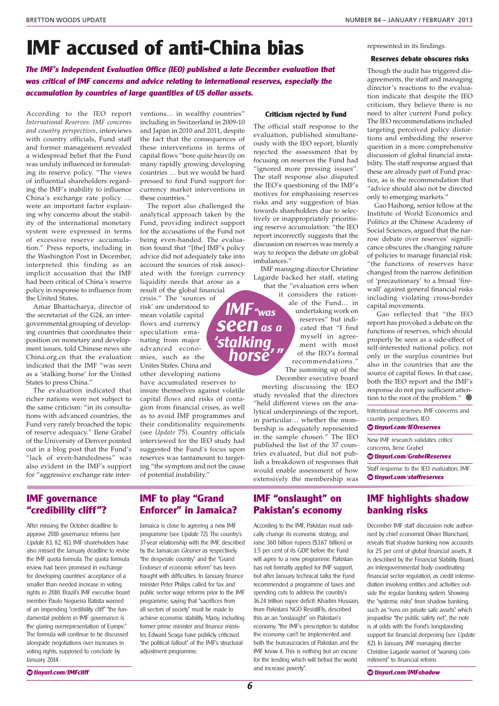represented in its findings.

**Reserves debate obscures risks** Though the audit has triggered disagreements, the staff and managing director's reactions to the evaluation indicate that despite the IEO criticism, they believe there is no

# **IMF accused of anti-China bias**

**The IMF's Independent Evaluation Office (IEO) published a late December evaluation that was critical of IMF concerns and advice relating to international reserves, especially the accumulation by countries of large quantities of US dollar assets.**

According to the IEO report *International Reserves: IMF concerns and country perspectives*, interviews with country officials, Fund staff and former management revealed a widespread belief that the Fund was unduly influenced in formulating its reserve policy. "The views of influential shareholders regarding the IMF's inability to influence China's exchange rate policy … were an important factor explaining why concerns about the stability of the international monetary system were expressed in terms of excessive reserve accumulation." Press reports, including in the Washington Post in December, interpreted this finding as an implicit accusation that the IMF had been critical of China's reserve policy in response to influence from the United States.

Amar Bhattacharya, director of the secretariat of the G24, an intergovernmental grouping of developing countries that coordinates their position on monetary and development issues, told Chinese news site China.org.cn that the evaluation indicated that the IMF "was seen as a 'stalking horse' for the United States to press China."

The evaluation indicated that richer nations were not subject to the same criticism: "in its consultations with advanced countries, the Fund very rarely broached the topic of reserve adequacy." Ilene Grabel of the University of Denver pointed out in a blog post that the Fund's "lack of even-handedness" was also evident in the IMF's support for "aggressive exchange rate interventions… in wealthy countries" including in Switzerland in 2009-10 and Japan in 2010 and 2011, despite the fact that the consequences of these interventions in terms of capital flows "bore quite heavily on many rapidly growing developing countries … but we would be hard pressed to find Fund support for currency market interventions in these countries."

The report also challenged the analytical approach taken by the Fund, providing indirect support for the accusations of the Fund not being even-handed. The evaluation found that "[the] IMF's policy advice did not adequately take into account the sources of risk associated with the foreign currency liquidity needs that arose as a result of the global financial

crisis." The 'sources of risk' are understood to mean volatile capital flows and currency speculation emanating from major advanced economies, such as the Unites States. China and other developing nations have accumulated reserves to

insure themselves against volatile capital flows and risks of contagion from financial crises, as well as to avoid IMF programmes and their conditionality requirements (see *Update* 75). Country officials interviewed for the IEO study had suggested the Fund's focus upon reserves was tantamount to targeting "the symptom and not the cause of potential instability."

#### **Criticism rejected by Fund**

The official staff response to the evaluation, published simultaneously with the IEO report, bluntly rejected the assessment that by focusing on reserves the Fund had "ignored more pressing issues". The staff response also disputed the IEO's questioning of the IMF's motives for emphasising reserves risks and any suggestion of bias towards shareholders due to selectively or inappropriately prioritising reserve accumulation: "the IEO report incorrectly suggests that the discussion on reserves was merely a way to reopen the debate on global imbalances."

IMF managing director Christine Lagarde backed her staff, stating that the "evaluation errs when

**IMF"was**

**Seen**<sup>as</sup><sub>as</sub>

it considers the rationale of the Fund… in undertaking work on reserves" but indicated that "I find **horse' " 'stalking**

myself in agreement with most of the IEO's formal recommendations." The summing up of the

December executive board meeting discussing the IEO study revealed that the directors "held different views on the analytical underpinnings of the report, in particular… whether the membership is adequately represented in the sample chosen." The IEO published the list of the 37 countries evaluated, but did not publish a breakdown of responses that would enable assessment of how extensively the membership was

**IMF "onslaught" on Pakistan's economy** According to the IMF, Pakistan must radically change its economic strategy, and raise 360 billion rupees (\$3.67 billion) or 1.5 per cent of its GDP, before the Fund will agree to a new programme. Pakistan has not formally applied for IMF support, but after January technical talks the Fund recommended a programme of taxes and spending cuts to address the country's 16.24 trillion rupee deficit. Khadim Hussain, from Pakistani NGO ResistIFIs, described this as an "onslaught" on Pakistan's economy: "the IMF's prescription to stabilise the economy can't be implemented and both the bureaucracies of Pakistan and the IMF know it. This is nothing but an excuse for the lending which will befool the world

need to alter current Fund policy. The IEO recommendations included targeting perceived policy distortions and embedding the reserve question in a more comprehensive discussion of global financial instability. The staff response argued that these are already part of Fund practice, as is the recommendation that "advice should also not be directed only to emerging markets." Gao Haihong, senior fellow at the

Institute of World Economics and Politics at the Chinese Academy of Social Sciences, argued that the narrow debate over reserves' significance obscures the changing nature of policies to manage financial risk: "the functions of reserves have changed from the narrow definition of 'precautionary' to a broad 'firewall' against general financial risks including violating cross-border capital movements.

Gao reflected that "the IEO report has provoked a debate on the functions of reserves, which should properly be seen as a side-effect of self-interested national policy, not only in the surplus countries but also in the countries that are the source of capital flows. In that case, both the IEO report and the IMF's response do not pay sufficient attention to the root of the problem."  $\circledast$ 

International reserves: IMF concerns and country perspectives, IEO

**◊ tinyurl.com/IEOreserves**

New IMF research validates critics' concerns, Ilene Grabel

**◊ tinyurl.com/GrabelReserves**

Staff response to the IEO evaluation, IMF **◊ tinyurl.com/staffreserves**

## **IMF highlights shadow banking risks**

December IMF staff discussion note authorised by chief economist Olivier Blanchard, reveals that shadow banking now accounts for 25 per cent of global financial assets. It is described by the Financial Stability Board, an intergovernmental body coordinating financial sector regulation, as credit intermediation involving entities and activities outside the regular banking system. Showing the "systemic risks" from shadow banking, such as "runs on private safe assets" which jeopardise "the public safety net", the note is at odds with the Fund's longstanding support for financial deepening (see Update 82). In January, IMF managing director Christine Lagarde warned of "waning commitment" to financial reform.

**◊ tinyurl.com/IMFshadow**

## **IMF governance "credibility cliff "?**

After missing the October deadline to approve 2010 governance reforms (see Update 83, 82, 81), IMF shareholders have also missed the January deadline to revise the IMF quota formula. The quota formula review had been promised in exchange for developing countries' acceptance of a smaller than needed increase in voting rights in 2010. Brazil's IMF executive board member Paulo Nogueira Batista warned of an impending "credibility cliff" "the fundamental problem in IMF governance is the glaring overrepresentation of Europe." The formula will continue to be discussed alongside negotiations over increases in voting rights, supposed to conclude by January 2014.

## **IMF to play "Grand Enforcer" in Jamaica?**

Jamaica is close to agreeing a new IMF programme (see Update 72). The country's 37-year relationship with the IMF, described by the Jamaican Gleaner as respectively "the desperate country" and the "Grand Endorser of economic reform" has been fraught with difficulties. In January finance minister Peter Philips called for tax and public sector wage reforms prior to the IMF programme, saying that "sacrifices from all sectors of society" must be made to achieve economic stability. Many, including former prime minister and finance minister, Edward Seaga have publicly criticised "the political fallout" of the IMF's structural adjustment programme.

and increase poverty".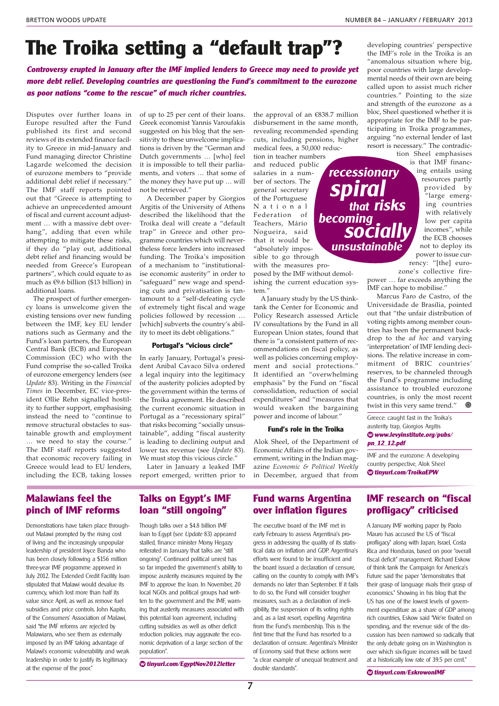# **The Troika setting a "default trap"?** developing countries' perspective

**Controversy erupted in January after the IMF implied lenders to Greece may need to provide yet more debt relief. Developing countries are questioning the Fund's commitment to the eurozone as poor nations "come to the rescue" of much richer countries.**

Disputes over further loans in Europe resulted after the Fund published its first and second reviews of its extended finance facility to Greece in mid-January and Fund managing director Christine Lagarde welcomed the decision of eurozone members to "provide additional debt relief if necessary." The IMF staff reports pointed out that "Greece is attempting to achieve an unprecedented amount of fiscal and current account adjustment … with a massive debt overhang", adding that even while attempting to mitigate these risks, if they do "play out, additional debt relief and financing would be needed from Greece's European partners", which could equate to as much as €9.6 billion (\$13 billion) in additional loans.

The prospect of further emergency loans is unwelcome given the existing tensions over new funding between the IMF, key EU lender nations such as Germany and the Fund's loan partners, the European Central Bank (ECB) and European Commission (EC) who with the Fund comprise the so-called Troika of eurozone emergency lenders (see *Update* 83). Writing in the *Financial Times* in December, EC vice-president Ollie Rehn signalled hostility to further support, emphasising instead the need to "continue to remove structural obstacles to sustainable growth and employment … we need to stay the course." The IMF staff reports suggested that economic recovery failing in Greece would lead to EU lenders, including the ECB, taking losses

of up to 25 per cent of their loans. Greek economist Yannis Varoufakis suggested on his blog that the sensitivity to these unwelcome implications is driven by the "German and Dutch governments … [who] feel it is impossible to tell their parliaments, and voters … that some of the money they have put up … will not be retrieved."

A December paper by Giorgios Argitis of the University of Athens described the likelihood that the Troika deal will create a "default trap" in Greece and other programme countries which will nevertheless force lenders into increased funding. The Troika's imposition of a mechanism to "institutionalise economic austerity" in order to "safeguard" new wage and spending cuts and privatisation is tantamount to a "self-defeating cycle of extremely tight fiscal and wage policies followed by recession … [which] subverts the country's ability to meet its debt obligations."

#### **Portugal's "vicious circle"**

In early January, Portugal's president Anibal Cavaco Silva ordered a legal inquiry into the legitimacy of the austerity policies adopted by the government within the terms of the Troika agreement. He described the current economic situation in Portugal as a "recessionary spiral" that risks becoming "socially unsustainable", adding "fiscal austerity is leading to declining output and lower tax revenue (see *Update* 83). We must stop this vicious circle."

Later in January a leaked IMF report emerged, written prior to the approval of an €838.7 million disbursement in the same month, revealing recommended spending cuts, including pensions, higher medical fees, a 50,000 reduc-

**recessionary**

**spiral**

**that risks**

**socially**

**unsustainable**

**becoming**

tion in teacher numbers and reduced public salaries in a number of sectors. The general secretary of the Portuguese N a t i o n a l Federation of Teachers, Mário Nogueira, said that it would be "absolutely impossible to go through

with the measures proposed by the IMF without demolishing the current education system."

A January study by the US thinktank the Center for Economic and Policy Research assessed Article IV consultations by the Fund in all European Union states, found that there is "a consistent pattern of recommendations on fiscal policy, as well as policies concerning employment and social protections." It identified an "overwhelming emphasis" by the Fund on "fiscal consolidation, reduction of social expenditures" and "measures that would weaken the bargaining power and income of labour."

#### **Fund's role in the Troika**

Alok Sheel, of the Department of Economic Affairs of the Indian government, writing in the Indian magazine *Economic & Political Weekly* in December, argued that from

the IMF's role in the Troika is an "anomalous situation where big, poor countries with large developmental needs of their own are being called upon to assist much richer countries." Pointing to the size and strength of the eurozone as a bloc, Sheel questioned whether it is appropriate for the IMF to be participating in Troika programmes, arguing "no external lender of last resort is necessary." The contradiction Sheel emphasises

> is that IMF financing entails using resources partly provided by "large emerging countries with relatively low per capita incomes", while the ECB chooses not to deploy its power to issue cur-

rency: "[the] eurozone's collective fire-

power … far exceeds anything the IMF can hope to mobilise."

Marcus Faro de Castro, of the Universidade de Brasília, pointed out that "the unfair distribution of voting rights among member countries has been the permanent backdrop to the *ad hoc* and varying 'interpretation' of IMF lending decisions. The relative increase in commitment of BRIC countries' reserves, to be channeled through the Fund's programme including assistance to troubled eurozone countries, is only the most recent twist in this very same trend." ◉

Greece: caught fast in the Troika's austerity trap, Giorgios Argitis **◊ www.levyinstitute.org/pubs/ pn\_12\_12.pdf**

IMF and the eurozone: A developing country perspective, Alok Sheel **◊ tinyurl.com/TroikaEPW**

### **Malawians feel the pinch of IMF reforms**

Demonstrations have taken place throughout Malawi prompted by the rising cost of living and the increasingly unpopular leadership of president Joyce Banda who has been closely following a \$156 million three-year IMF programme approved in July 2012. The Extended Credit Facility loan stipulated that Malawi would devalue its currency, which lost more than half its value since April, as well as remove fuel subsidies and price controls. John Kapito, of the Consumers' Association of Malawi, said "the IMF reforms are rejected by Malawians, who see them as externally imposed by an IMF taking advantage of Malawi's economic vulnerability and weak leadership in order to justify its legitimacy at the expense of the poor."

## **Talks on Egypt's IMF loan "still ongoing"**

Though talks over a \$4.8 billion IMF loan to Egypt (see Update 83) appeared stalled, finance minister Morsy Hegazy reiterated in January that talks are "still ongoing". Continued political unrest has so far impeded the government's ability to impose austerity measures required by the IMF to approve the loan. In November, 20 local NGOs and political groups had written to the government and the IMF, warning that austerity measures associated with this potential loan agreement, including cutting subsidies as well as other deficit reduction policies, may aggravate the economic deprivation of a large section of the population".

**◊ tinyurl.com/EgyptNov2012letter**

## **Fund warns Argentina over inflation figures**

The executive board of the IMF met in early February to assess Argentina's progress in addressing the quality of its statistical data on inflation and GDP. Argentina's efforts were found to be insufficient and the board issued a declaration of censure, calling on the country to comply with IMF's demands no later than September. If it fails to do so, the Fund will consider tougher measures, such as a declaration of ineligibility, the suspension of its voting rights and, as a last resort, expelling Argentina from the Fund's membership. This is the first time that the Fund has resorted to a declaration of censure. Argentina's Minister of Economy said that these actions were "a clear example of unequal treatment and double standards".

## **IMF research on "fiscal profligacy" criticised**

A January IMF working paper by Paolo Mauro has accused the US of "fiscal profligacy" along with Japan, Israel, Costa Rica and Honduras, based on poor "overall fiscal deficit" management. Richard Eskow of think tank the Campaign for America's Future said the paper "demonstrates that their grasp of language rivals their grasp of economics." Showing in his blog that the US has one of the lowest levels of government expenditure as a share of GDP among rich countries, Eskow said "We're fixated on spending, and the revenue side of the discussion has been narrowed so radically that the only debate going on in Washington is over which six-figure incomes will be taxed at a historically low rate of 39.5 per cent."

**◊ tinyurl.com/EskrowonIMF**